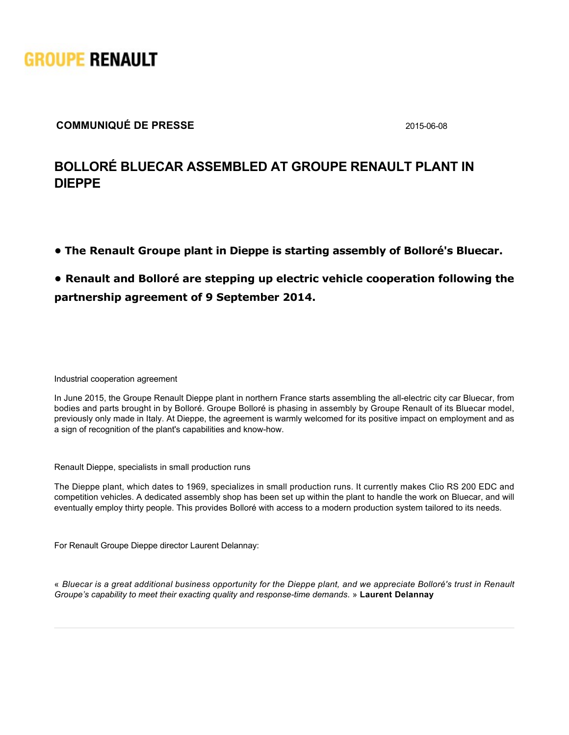

### **COMMUNIQUÉ DE PRESSE** 2015-06-08

# **BOLLORÉ BLUECAR ASSEMBLED AT GROUPE RENAULT PLANT IN DIEPPE**

**• The Renault Groupe plant in Dieppe is starting assembly of Bolloré's Bluecar.**

## **• Renault and Bolloré are stepping up electric vehicle cooperation following the partnership agreement of 9 September 2014.**

Industrial cooperation agreement

In June 2015, the Groupe Renault Dieppe plant in northern France starts assembling the all-electric city car Bluecar, from bodies and parts brought in by Bolloré. Groupe Bolloré is phasing in assembly by Groupe Renault of its Bluecar model, previously only made in Italy. At Dieppe, the agreement is warmly welcomed for its positive impact on employment and as a sign of recognition of the plant's capabilities and know-how.

Renault Dieppe, specialists in small production runs

The Dieppe plant, which dates to 1969, specializes in small production runs. It currently makes Clio RS 200 EDC and competition vehicles. A dedicated assembly shop has been set up within the plant to handle the work on Bluecar, and will eventually employ thirty people. This provides Bolloré with access to a modern production system tailored to its needs.

For Renault Groupe Dieppe director Laurent Delannay:

« *Bluecar is a great additional business opportunity for the Dieppe plant, and we appreciate Bolloré's trust in Renault Groupe's capability to meet their exacting quality and responsetime demands*. » **Laurent Delannay**